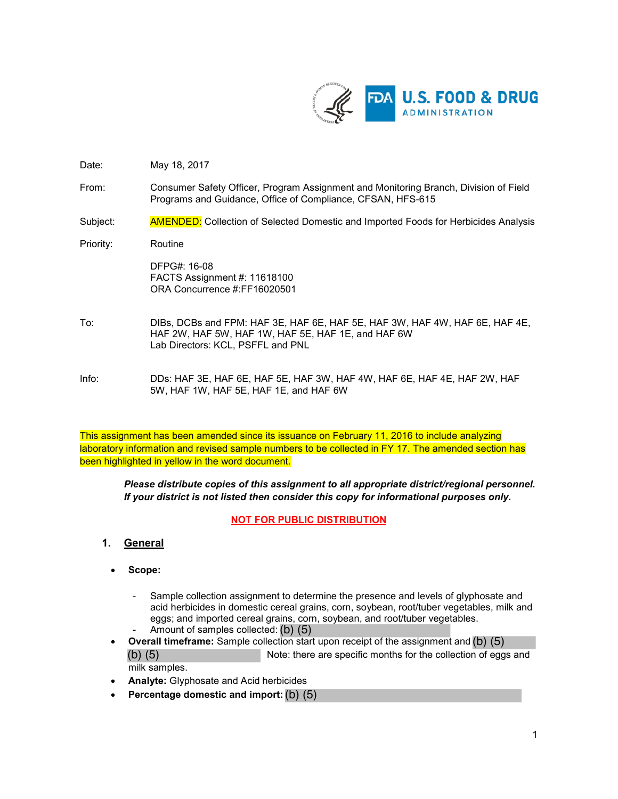

- Date: May 18, 2017
- From: Consumer Safety Officer, Program Assignment and Monitoring Branch, Division of Field Programs and Guidance, Office of Compliance, CFSAN, HFS-615
- Subject: AMENDED: Collection of Selected Domestic and Imported Foods for Herbicides Analysis
- Priority: Routine

DFPG#: 16-08 FACTS Assignment #: 11618100 ORA Concurrence #:FF16020501

- To: DIBs, DCBs and FPM: HAF 3E, HAF 6E, HAF 5E, HAF 3W, HAF 4W, HAF 6E, HAF 4E, HAF 2W, HAF 5W, HAF 1W, HAF 5E, HAF 1E, and HAF 6W Lab Directors: KCL, PSFFL and PNL
- Info: DDs: HAF 3E, HAF 6E, HAF 5E, HAF 3W, HAF 4W, HAF 6E, HAF 4E, HAF 2W, HAF 5W, HAF 1W, HAF 5E, HAF 1E, and HAF 6W

This assignment has been amended since its issuance on February 11, 2016 to include analyzing laboratory information and revised sample numbers to be collected in FY 17. The amended section has been highlighted in yellow in the word document.

*Please distribute copies of this assignment to all appropriate district/regional personnel. If your district is not listed then consider this copy for informational purposes only.*

**NOT FOR PUBLIC DISTRIBUTION**

- **1. General**
	- **Scope:** 
		- Sample collection assignment to determine the presence and levels of glyphosate and acid herbicides in domestic cereal grains, corn, soybean, root/tuber vegetables, milk and eggs; and imported cereal grains, corn, soybean, and root/tuber vegetables.
		- Amount of samples collected: (b) (5)
	- **Overall timeframe:** Sample collection start upon receipt of the assignment and (b) (5) Note: there are specific months for the collection of eggs and milk samples. (b) (5)
	- **Analyte:** Glyphosate and Acid herbicides
	- **Percentage domestic and import:** (b) (5)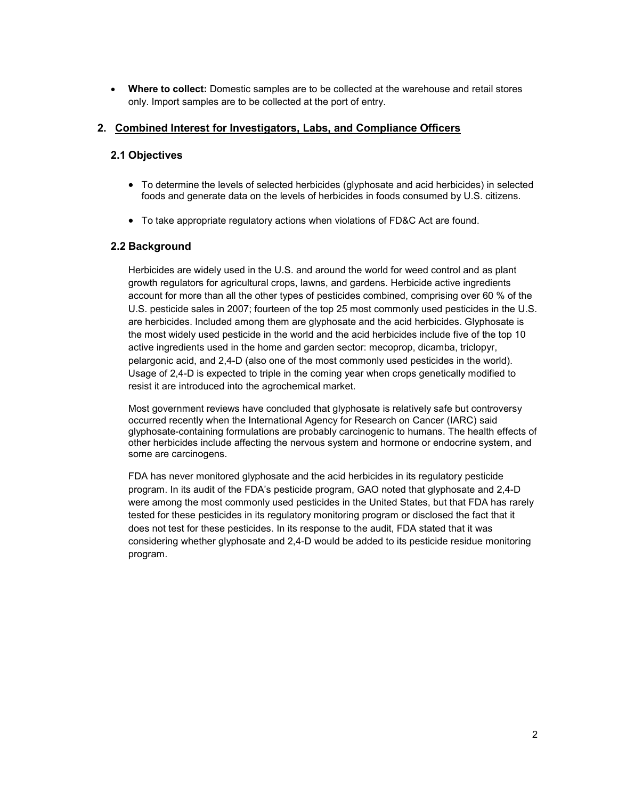• **Where to collect:** Domestic samples are to be collected at the warehouse and retail stores only. Import samples are to be collected at the port of entry.

## **2. Combined Interest for Investigators, Labs, and Compliance Officers**

## **2.1 Objectives**

- To determine the levels of selected herbicides (glyphosate and acid herbicides) in selected foods and generate data on the levels of herbicides in foods consumed by U.S. citizens.
- To take appropriate regulatory actions when violations of FD&C Act are found.

## **2.2 Background**

Herbicides are widely used in the U.S. and around the world for weed control and as plant growth regulators for agricultural crops, lawns, and gardens. Herbicide active ingredients account for more than all the other types of pesticides combined, comprising over 60 % of the U.S. pesticide sales in 2007; fourteen of the top 25 most commonly used pesticides in the U.S. are herbicides. Included among them are glyphosate and the acid herbicides. Glyphosate is the most widely used pesticide in the world and the acid herbicides include five of the top 10 active ingredients used in the home and garden sector: mecoprop, dicamba, triclopyr, pelargonic acid, and 2,4-D (also one of the most commonly used pesticides in the world). Usage of 2,4-D is expected to triple in the coming year when crops genetically modified to resist it are introduced into the agrochemical market.

Most government reviews have concluded that glyphosate is relatively safe but controversy occurred recently when the International Agency for Research on Cancer (IARC) said glyphosate-containing formulations are probably carcinogenic to humans. The health effects of other herbicides include affecting the nervous system and hormone or endocrine system, and some are carcinogens.

FDA has never monitored glyphosate and the acid herbicides in its regulatory pesticide program. In its audit of the FDA's pesticide program, GAO noted that glyphosate and 2,4-D were among the most commonly used pesticides in the United States, but that FDA has rarely tested for these pesticides in its regulatory monitoring program or disclosed the fact that it does not test for these pesticides. In its response to the audit, FDA stated that it was considering whether glyphosate and 2,4-D would be added to its pesticide residue monitoring program.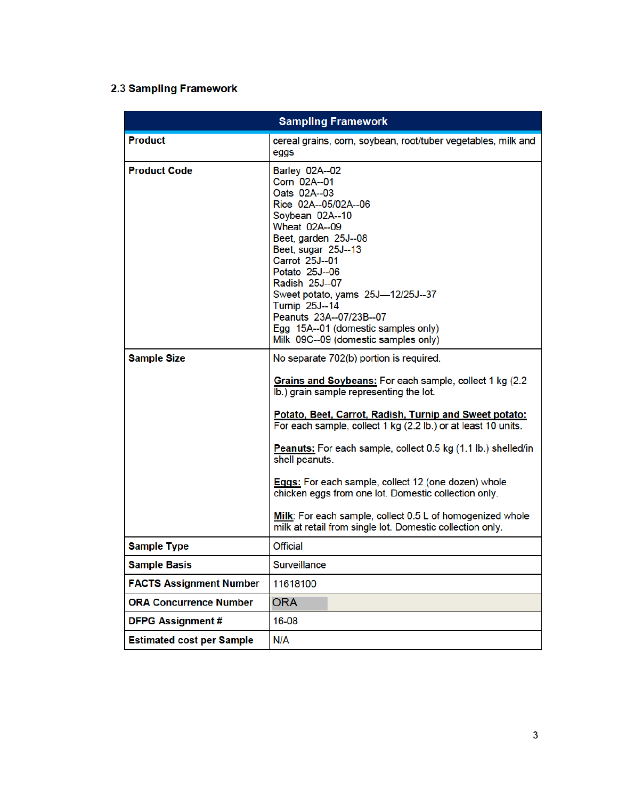# 2.3 Sampling Framework

| <b>Product</b><br>cereal grains, corn, soybean, root/tuber vegetables, milk and<br>eggs<br><b>Product Code</b><br>Barley 02A--02<br>Corn 02A--01<br>Oats 02A--03<br>Rice 02A--05/02A--06<br>Soybean 02A--10<br><b>Wheat 02A--09</b><br>Beet, garden 25J--08<br>Beet, sugar 25J--13<br>Carrot 25J--01<br>Potato 25J--06<br>Radish 25J--07<br>Sweet potato, yams 25J-12/25J--37<br>Turnip 25J--14<br>Peanuts 23A--07/23B--07<br>Egg 15A--01 (domestic samples only)<br>Milk 09C--09 (domestic samples only)<br><b>Sample Size</b><br>No separate 702(b) portion is required.<br>Grains and Soybeans: For each sample, collect 1 kg (2.2)<br>lb.) grain sample representing the lot.<br>Potato, Beet, Carrot, Radish, Turnip and Sweet potato:<br>For each sample, collect 1 kg (2.2 lb.) or at least 10 units.<br>Peanuts: For each sample, collect 0.5 kg (1.1 lb.) shelled/in<br>shell peanuts.<br><b>Eggs:</b> For each sample, collect 12 (one dozen) whole<br>chicken eggs from one lot. Domestic collection only.<br>Milk: For each sample, collect 0.5 L of homogenized whole<br>milk at retail from single lot. Domestic collection only.<br><b>Sample Type</b><br>Official<br><b>Sample Basis</b><br>Surveillance |
|--------------------------------------------------------------------------------------------------------------------------------------------------------------------------------------------------------------------------------------------------------------------------------------------------------------------------------------------------------------------------------------------------------------------------------------------------------------------------------------------------------------------------------------------------------------------------------------------------------------------------------------------------------------------------------------------------------------------------------------------------------------------------------------------------------------------------------------------------------------------------------------------------------------------------------------------------------------------------------------------------------------------------------------------------------------------------------------------------------------------------------------------------------------------------------------------------------------------------|
|                                                                                                                                                                                                                                                                                                                                                                                                                                                                                                                                                                                                                                                                                                                                                                                                                                                                                                                                                                                                                                                                                                                                                                                                                          |
|                                                                                                                                                                                                                                                                                                                                                                                                                                                                                                                                                                                                                                                                                                                                                                                                                                                                                                                                                                                                                                                                                                                                                                                                                          |
|                                                                                                                                                                                                                                                                                                                                                                                                                                                                                                                                                                                                                                                                                                                                                                                                                                                                                                                                                                                                                                                                                                                                                                                                                          |
|                                                                                                                                                                                                                                                                                                                                                                                                                                                                                                                                                                                                                                                                                                                                                                                                                                                                                                                                                                                                                                                                                                                                                                                                                          |
|                                                                                                                                                                                                                                                                                                                                                                                                                                                                                                                                                                                                                                                                                                                                                                                                                                                                                                                                                                                                                                                                                                                                                                                                                          |
| <b>FACTS Assignment Number</b><br>11618100                                                                                                                                                                                                                                                                                                                                                                                                                                                                                                                                                                                                                                                                                                                                                                                                                                                                                                                                                                                                                                                                                                                                                                               |
| <b>ORA Concurrence Number</b><br><b>ORA</b>                                                                                                                                                                                                                                                                                                                                                                                                                                                                                                                                                                                                                                                                                                                                                                                                                                                                                                                                                                                                                                                                                                                                                                              |
| <b>DFPG Assignment#</b><br>16-08                                                                                                                                                                                                                                                                                                                                                                                                                                                                                                                                                                                                                                                                                                                                                                                                                                                                                                                                                                                                                                                                                                                                                                                         |
| <b>Estimated cost per Sample</b><br>N/A                                                                                                                                                                                                                                                                                                                                                                                                                                                                                                                                                                                                                                                                                                                                                                                                                                                                                                                                                                                                                                                                                                                                                                                  |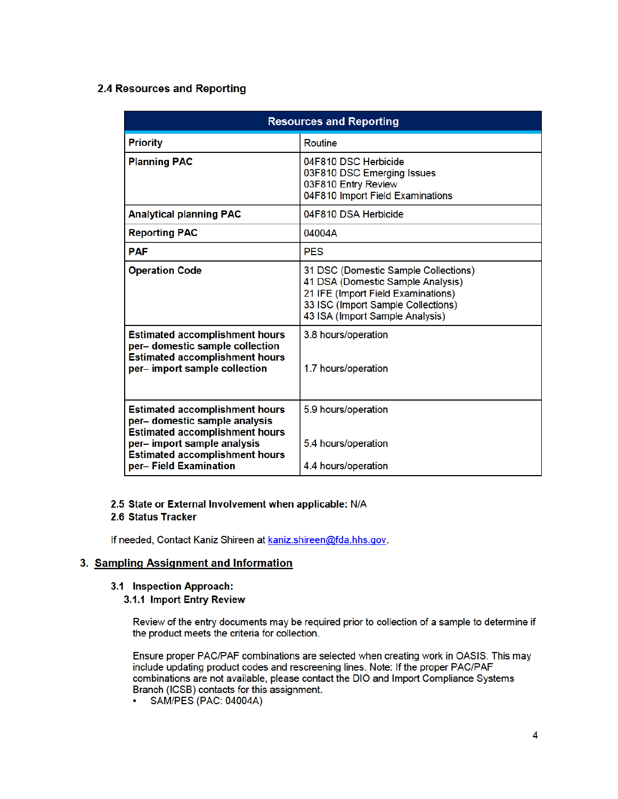## 2.4 Resources and Reporting

| <b>Resources and Reporting</b>                                                                                                                                                                                   |                                                                                                                                                                                          |
|------------------------------------------------------------------------------------------------------------------------------------------------------------------------------------------------------------------|------------------------------------------------------------------------------------------------------------------------------------------------------------------------------------------|
| <b>Priority</b>                                                                                                                                                                                                  | <b>Routine</b>                                                                                                                                                                           |
| <b>Planning PAC</b>                                                                                                                                                                                              | 04F810 DSC Herbicide<br>03F810 DSC Emerging Issues<br>03F810 Entry Review<br>04F810 Import Field Examinations                                                                            |
| <b>Analytical planning PAC</b>                                                                                                                                                                                   | 04F810 DSA Herbicide                                                                                                                                                                     |
| <b>Reporting PAC</b>                                                                                                                                                                                             | 04004A                                                                                                                                                                                   |
| <b>PAF</b>                                                                                                                                                                                                       | <b>PES</b>                                                                                                                                                                               |
| <b>Operation Code</b>                                                                                                                                                                                            | 31 DSC (Domestic Sample Collections)<br>41 DSA (Domestic Sample Analysis)<br>21 IFE (Import Field Examinations)<br>33 ISC (Import Sample Collections)<br>43 ISA (Import Sample Analysis) |
| <b>Estimated accomplishment hours</b><br>per- domestic sample collection<br><b>Estimated accomplishment hours</b><br>per-import sample collection                                                                | 3.8 hours/operation<br>1.7 hours/operation                                                                                                                                               |
| <b>Estimated accomplishment hours</b><br>per- domestic sample analysis<br><b>Estimated accomplishment hours</b><br>per- import sample analysis<br><b>Estimated accomplishment hours</b><br>per-Field Examination | 5.9 hours/operation<br>5.4 hours/operation<br>4.4 hours/operation                                                                                                                        |

### 2.5 State or External Involvement when applicable: N/A 2.6 Status Tracker

If needed, Contact Kaniz Shireen at kaniz.shireen@fda.hhs.gov.

## 3. Sampling Assignment and Information

- 3.1 Inspection Approach:
	- 3.1.1 Import Entry Review

Review of the entry documents may be required prior to collection of a sample to determine if the product meets the criteria for collection.

Ensure proper PAC/PAF combinations are selected when creating work in OASIS. This may include updating product codes and rescreening lines. Note: If the proper PAC/PAF combinations are not available, please contact the DIO and Import Compliance Systems Branch (ICSB) contacts for this assignment.

SAM/PES (PAC: 04004A)  $\bullet$  .